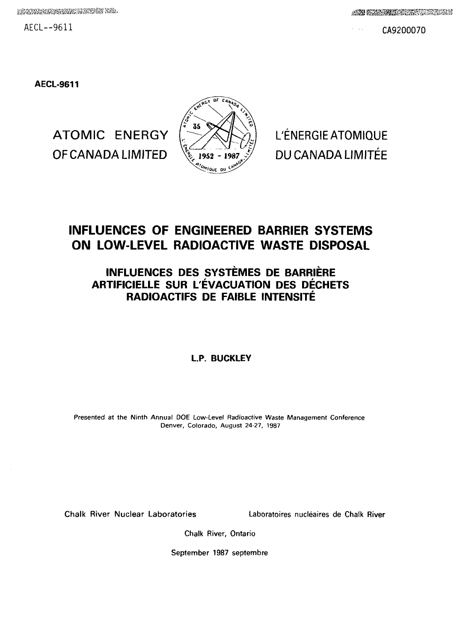REACTOR IN SERVICE IN THE REAL PROPERTY OF THE REAL PROPERTY OF THE REAL PROPERTY OF THE REAL PROPERTY.

 $AECL--9611$  CA9200070

**AECL-9611**

ATOMIC ENERGY OF CANADA LIMITED



# **INFLUENCES OF ENGINEERED BARRIER SYSTEMS ON LOW-LEVEL RADIOACTIVE WASTE DISPOSAL**

# **INFLUENCES DES SYSTEMES DE BARRIERE ARTIFICIELLE SUR L'EVACUATION DES DECHETS RADIOACTIFS DE FAIBLE INTENSITE**

## **L.P. BUCKLEY**

Presented at the Ninth Annual DOE Low-Level Radioactive Waste Management Conference Denver, Colorado, August 24-27, 1987

Chalk River Nuclear Laboratories Laboratoires nucleaires de Chalk River

Chalk River, Ontario

September 1987 septembre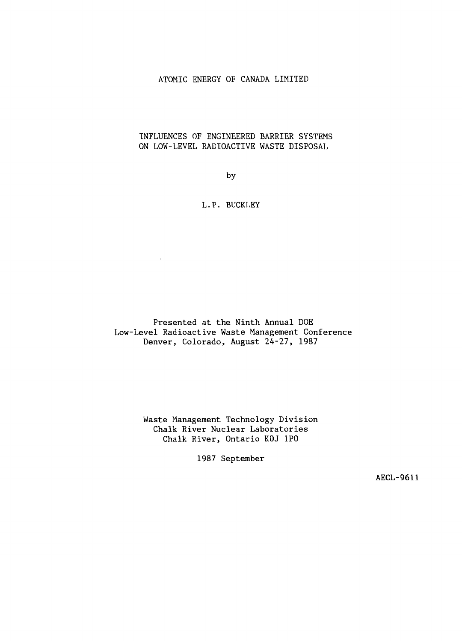## ATOMIC ENERGY OF CANADA LIMITED

## INFLUENCES OF ENGINEERED BARRIER SYSTEMS ON LOW-LEVEL RADIOACTIVE WASTE DISPOSAL

by

## L.P. BUCKLEY

 $\bar{z}$ 

Presented at the Ninth Annual DOE Low-Level Radioactive Waste Management Conference Denver, Colorado, August 24-27, 1987

> Waste Management Technology Division Chalk River Nuclear Laboratories Chalk River, Ontario KOJ IPO

> > 1987 September

AECL-9611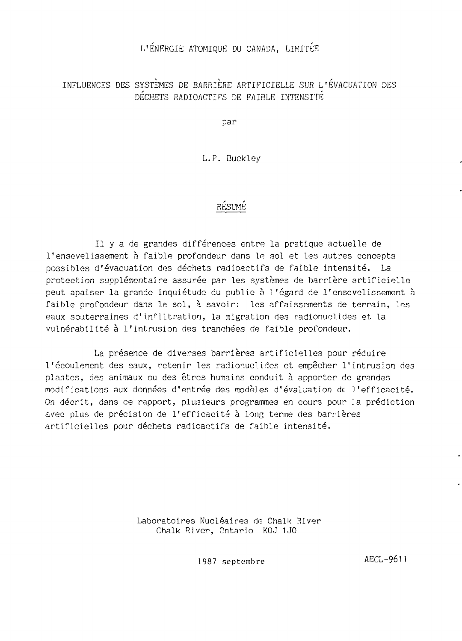## L'ENERGIE ATOMIQUE DU CANADA, LIMITEE

# INFLUENCES DES SYSTEMES DE BARRIERE ARTIFICIELLE SUR L'EVACUATION DES DÉCHETS RADIOACTIFS DE FAIBLE INTENSITÉ

Dar

L.P. Buckley

# RESUME

II y a de grandes différences entre la pratique actuelle de l'ensevelissement à faible profondeur dans le sol et les autres concepts possibles d'évacuation des déchets radioactifs de faible intensité. La protection supplémentaire assurée par les systèmes de barrière artificielle peut apaiser la grande inquiétude du public à l'égard de l'ensevelissement à faible profondeur dans le sol, à savoir: les affaissements de terrain, les eaux souterraines d'infiltration, la migration des radionuelides et la vulnérabilité à l'intrusion des tranchées de faible profondeur.

La présence de diverses barrières artificielles pour réduire l'écoulement des eaux, retenir les radionuelides et empêcher l'intrusion des plantes, des animaux ou des êtres humains conduit à apporter de grandes modifications aux données d'entrée des modèles d'évaluation de l'efficacité. On décrit, dans ce rapport, plusieurs programmes en cours pour la prédiction avec plus de précision de l'efficacité à long terme des barrières artificielles pour déchets radioactifs de faible intensité.

> Laboratoires Nucléaires de Chalk River Chalk River, Ontario KOJ 1J0

> > 1987 septembre AECL-9611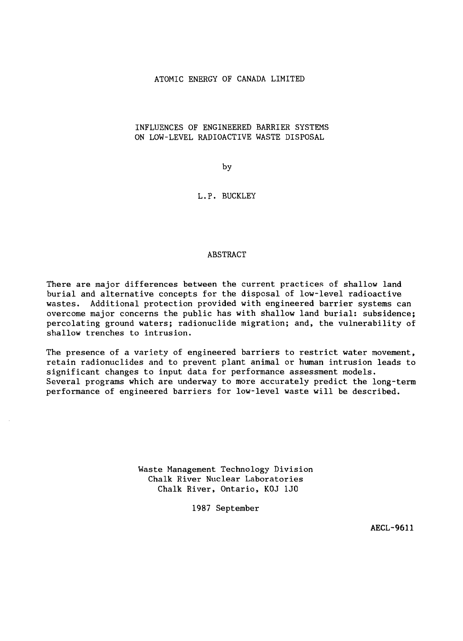### ATOMIC ENERGY OF CANADA LIMITED

## INFLUENCES OF ENGINEERED BARRIER SYSTEMS ON LOW-LEVEL RADIOACTIVE WASTE DISPOSAL

by

### L.P. BUCKLEY

## ABSTRACT

There are major differences between the current practices of shallow land burial and alternative concepts for the disposal of low-level radioactive wastes. Additional protection provided with engineered barrier systems can overcome major concerns the public has with shallow land burial: subsidence; percolating ground waters; radionuclide migration; and, the vulnerability of shallow trenches to intrusion.

The presence of a variety of engineered barriers to restrict water movement, retain radionuclides and to prevent plant animal or human intrusion leads to significant changes to input data for performance assessment models. Several programs which are underway to more accurately predict the long-term performance of engineered barriers for low-level waste will be described.

> Waste Management Technology Division Chalk River Nuclear Laboratories Chalk River, Ontario, KOJ 1J0

> > 1987 September

**AECL-9611**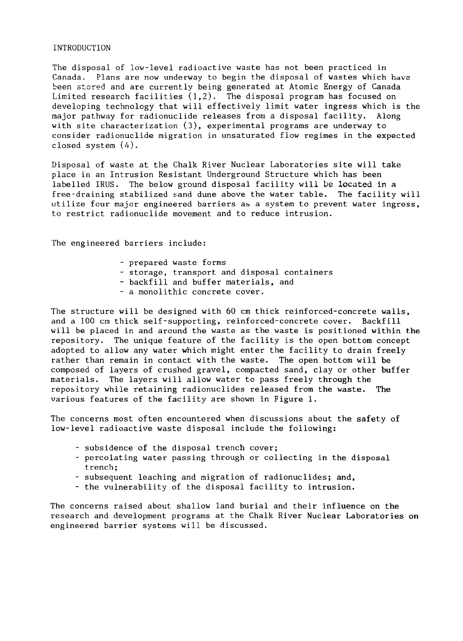#### INTRODUCTION

The disposal of low-level radioactive waste has not been practiced in Canada. Plans are now underway to begin the disposal of wastes which hava been stored and are currently being generated at Atomic Energy of Canada Limited research facilities (1,2). The disposal program has focused on developing technology that will effectively limit water ingress which is the major pathway for radionuclide releases from a disposal facility. Along with site characterization (3), experimental programs are underway to consider radionuclide migration in unsaturated flow regimes in the expected closed system (4).

Disposal of waste at the Chalk River Nuclear Laboratories site will take place in an Intrusion Resistant Underground Structure which has been labelled IRUS. The below ground disposal facility will be located in a free-draining stabilized sand dune above the water table. The facility will utilize four major engineered barriers as a system to prevent water ingress, to restrict radionuclide movement and to reduce intrusion.

The engineered barriers include:

- prepared waste forms
- storage, transport and disposal containers
- backfill and buffer materials, and
- a monolithic concrete cover.

The structure will be designed with 60 cm thick reinforced-concrete walls, and a 100 cm thick self-supporting, reinforced-concrete cover. Backfill will be placed in and around the waste as the waste is positioned within the repository. The unique feature of the facility is the open bottom concept adopted to allow any water which might enter the facility to drain freely rather than remain in contact with the waste. The open bottom will be composed of layers of crushed gravel, compacted sand, clay or other buffer materials. The layers will allow water to pass freely through the repository while retaining radionuclides released from the waste. The various features of the facility are shown in Figure 1.

The concerns most often encountered when discussions about the safety of low-level radioactive waste disposal include the following:

- subsidence of the disposal trench cover;
- percolating water passing through or collecting in the disposal trench;
- subsequent leaching and migration of radionuclides; and,
- the vulnerability of the disposal facility to intrusion.

The concerns raised about shallow land burial and their influence on **the** research and development programs at the Chalk River Nuclear Laboratories on engineered barrier systems will be discussed.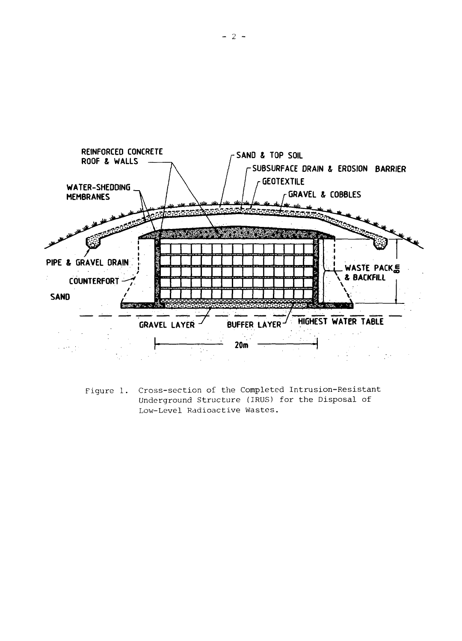

Figure 1. Cross-section of the Completed Intrusion-Resistant Underground Structure (IRUS) for the Disposal of Low-Level Radioactive Wastes.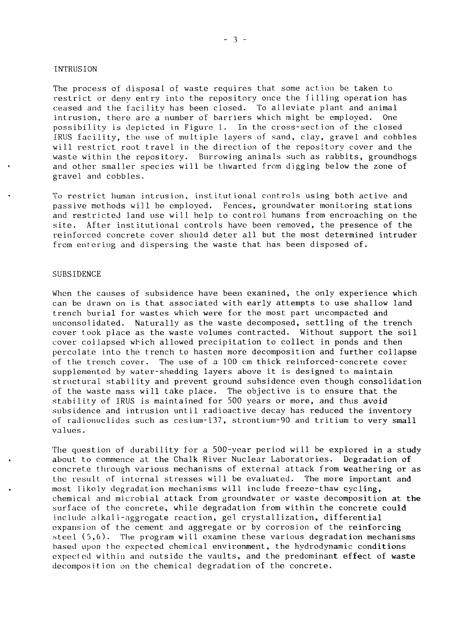#### INTRUSION

The process of disposal of waste requires that some action be taken to restrict or deny entry into the repository once the filling operation has ceased and the facility has been closed. To aLleviate plant and animal intrusion, there are a number of barriers which might be employed. One possibility is depicted in Figure 1. In the cross-section of the closed IRUS facility, the use of multiple layers of sand, clay, gravel and cobbles will restrict root travel in the direction of the repository cover and the waste within the repository. Burrowing animals such as rabbits, groundhogs and other smaller species will be thwarted from digging below the zone of gravel and cobbles.

To restrict human intrusion, institutional controls using both active and passive methods will be employed. Fences, groundwater monitoring stations and restricted land use will help to control humans from encroaching on the site. After institutional controls have been removed, the presence of the reinforced concrete cover should deter all but the most determined intruder from entering and dispersing the waste that has been disposed of.

### **SUBSIDENCE**

When the causes of subsidence have been examined, the only experience which can be drawn on is that associated with early attempts to use shallow land trench burial for wastes which were for the most part uncompacted and unconsolidated. Naturally as the waste decomposed, settling of the trench cover took place as the waste volumes contracted. Without support the soil cover collapsed which allowed precipitation to collect in ponds and then percolate into the trench to hasten more decomposition and further collapse of the trench cover. The use of a 100 cm thick reinforced-concrete cover supplemented by water-shedding layers above it is designed to maintain structural stability and prevent ground subsidence even though consolidation of the waste mass will take place. The objective is to ensure that the stability of IRUS is maintained for 500 years or more, and thus avoid subsidence and intrusion until radioactive decay has reduced the inventory of radionuclides such as cesium-137, strontium-90 and tritium to very small values.

The question of durability for a 500-year period will be explored in a study about to commence at the Chalk River Nuclear Laboratories. Degradation of concrete through various mechanisms of external attack from weathering or as the result of internal stresses will be evaluated. The more important and most likely degradation mechanisms will include freeze-thaw cycling, chemical and microbiai attack from groundwater or waste decomposition at the surface of the concrete, while degradation from within the concrete could include a 1kali-aggregate reaction, gel crystallization, differential expansion of the cement and aggregate or by corrosion of the reinforcing steel (5,6). The program will examine these various degradation mechanisms based upon the expected chemical environment, the hydrodynamic conditions expected within and outside the vaults, and the predominant effect of waste decomposition on the chemical degradation of the concrete.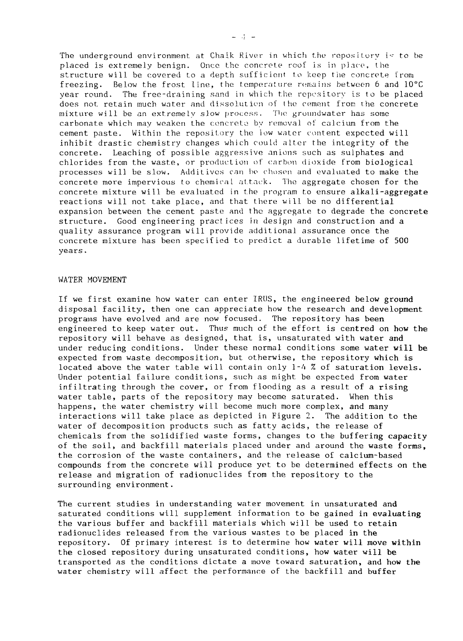The underground environment at Chaik River in which the repository is to be placed is extremely benign. Once the concrete roof is in place, the structure will be covered to a depth sufficient to keep the concrete from freezing. Below the frost line, the temperature remains between 6 and 10°C year round. The free-draining sand in which the repository is to be placed does not retain much water and dissolution of the cement from the concrete mixture will be an extremely slow process. The gruundwater has some carbonate which may weaken the concrete by removal of calcium from the cement paste. Within the repository the low water content expected will inhibit drastic chemistry changes which could alter the integrity of the concrete. Leaching of possible aggressive anions such as sulphates and chlorides from the waste, or production of carbon dioxide from biological processes will be slow. Additives can bo chosen and evaluated to make the concrete more impervious to chemical, attack. The aggregate chosen for the concrete mixture will be evaluated in the program to ensure alkali-aggregate reactions will not take place, and that there will be no differential expansion between the cement paste and the aggregate to degrade the concrete structure. Good engineering practices in design and construction and a quality assurance program will provide additional assurance once the concrete mixture has been specified to predict a durable lifetime of 500 years.

#### WATER MOVEMENT

If we first examine how water can enter IRUS, the engineered below ground disposal facility, then one can appreciate how the research and development programs have evolved and are now focused. The repository has been engineered to keep water out. Thus much of the effort is centred on how the repository will behave as designed, that is, unsaturated with water and under reducing conditions. Under these normal conditions some water will be expected from waste decomposition, but otherwise, the repository which is located above the water table will contain only 1-4 % of saturation levels. Under potential failure conditions, such as might be expected from water infiltrating through the cover, or from flooding as a result of a rising water table, parts of the repository may become saturated. When this happens, the water chemistry will become much more complex, and many interactions will take place as depicted in Figure 2. The addition to the water of decomposition products such as fatty acids, the release of chemicals from the solidified waste forms, changes to the buffering capacity of the soil, and backfill materials placed under and around the waste forms, the corrosion of the waste containers, and the release of calcium-based compounds from the concrete will produce yet to be determined effects on the release and migration of radionuclides from the repository to the surrounding environment.

The current studies in understanding water movement in unsaturated and saturated conditions will supplement information to be gained in evaluating the various buffer and backfill materials which will be used to retain radionuclides released from the various wastes to be placed in the repository. Of primary interest is to determine how water will move within the closed repository during unsaturated conditions, how water will be transported as the conditions dictate a move toward saturation, and **how** the water chemistry will affect the performance of the backfill and buffer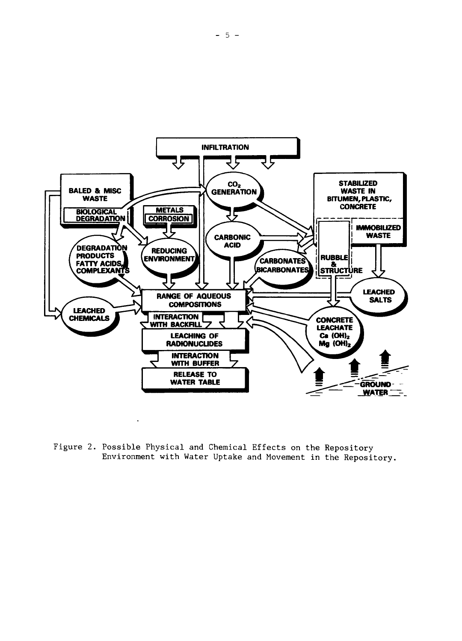

Figure 2. Possible Physical and Chemical Effects on the Repository Environment with Water Uptake and Movement in the Repository.

 $\ddot{\phantom{a}}$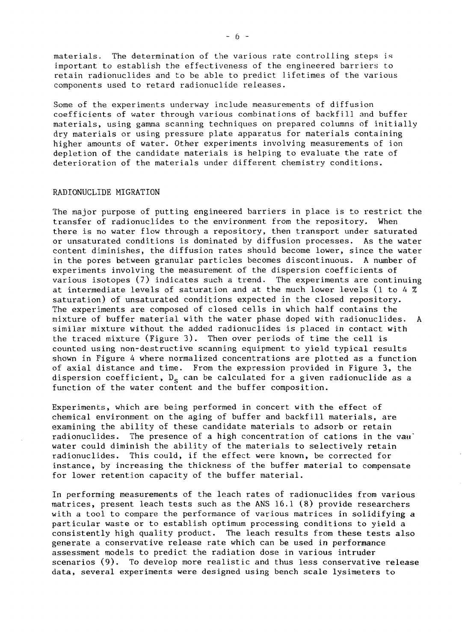materials. The determination of the various rate controlling steps is important to establish the effectiveness of the engineered barriers to retain radionuclides and to be able to predict lifetimes of the various components used to retard radionuclide releases.

Some of the experiments underway include measurements of diffusion coefficients of water through various combinations of backfill and buffer materials, using gamma scanning techniques on prepared columns of initially dry materials or using pressure plate apparatus for materials containing higher amounts of water. Other experiments involving measurements of ion depletion of the candidate materials is helping to evaluate the rate of deterioration of the materials under different chemistry conditions.

#### RADIONUCLIDE MIGRATION

The major purpose of putting engineered barriers in place is to restrict the transfer of radionuclides to the environment from the repository. When there is no water flow through a repository, then transport under saturated or unsaturated conditions is dominated by diffusion processes. As the water content diminishes, the diffusion rates should become lower, since the water in the pores between granular particles becomes discontinuous. A number of experiments involving the measurement of the dispersion coefficients of various isotopes (7) indicates such a trend. The experiments are continuing at intermediate levels of saturation and at the much lower levels (l to 4 % saturation) of unsaturated conditions expected in the closed repository. The experiments are composed of closed cells in which half contains the mixture of buffer material with the water phase doped with radionuclides. A similar mixture without the added radionuclides is placed in contact with the traced mixture (Figure 3). Then over periods of time the cell is counted using non-destructive scanning equipment to yield typical results shown in Figure 4 where normalized concentrations are plotted as a function of axial distance and time. From the expression provided in Figure 3, the dispersion coefficient,  $D_{\rm g}$  can be calculated for a given radionuclide as a function of the water content and the buffer composition.

Experiments, which are being performed in concert with the effect of chemical environment on the aging of buffer and backfill materials, are examining the ability of these candidate materials to adsorb or retain radionuclides. The presence of a high concentration of cations in the van" water could diminish the ability of the materials to selectively retain radionuclides. This could, if the effect were known, be corrected for instance, by increasing the thickness of the buffer material to compensate for lower retention capacity of the buffer material.

In performing measurements of the leach rates of radionuclides from various matrices, present leach tests such as the ANS 16.1 (8) provide researchers with a tool to compare the performance of various matrices in solidifying a particular waste or to establish optimum processing conditions to yield a consistently high quality product. The leach results from these tests also generate a conservative release rate which can be used in performance assessment models to predict the radiation dose in various intruder scenarios (9). To develop more realistic and thus less conservative release data, several experiments were designed using bench scale lysimeters to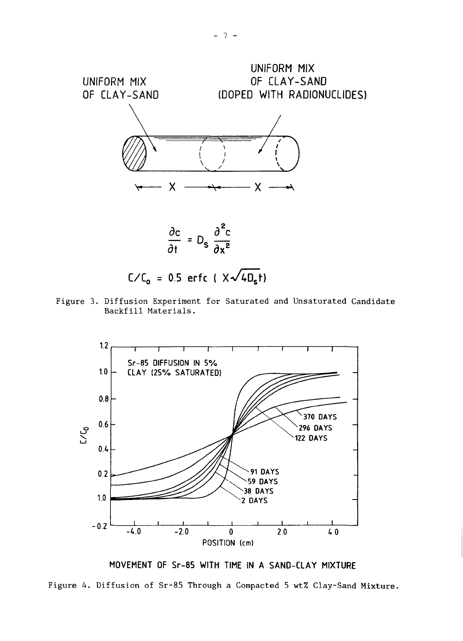

Figure 3. Diffusion Experiment for Saturated and Unsaturated Candidate Backfill Materials.



**MOVEMENT OF Sr-85 WITH TIME IN A SAND-CLAY MIXTURE**

Figure 4. Diffusion of Sr-85 Through a Compacted 5 wt% Clay-Sand Mixture.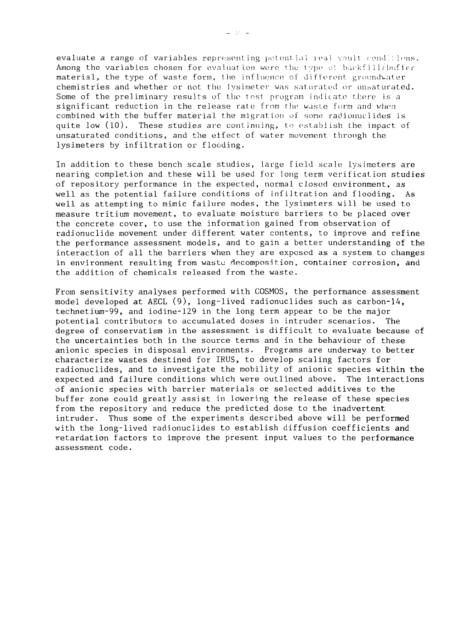evaluate a range of variables representing potential real vault conditions. Among the variables chosen for evaluation were the type of backfill/buffer material, the type of waste form, the influence of different groundwater chemistries and whether or not the Ivsimeter was saturated or unsaturated. Some of the preliminary results of the test program indicate there is a significant reduction in the release rate from fhe waste form and when combined with the buffer material the migration of sone radionuclides is quite low (10). These studies are continuing, to establish the impact of unsaturated conditions, and the effect of water movement through the lysimeters by infiltration or flooding.

In addition to these bench scale studies, large field scale lysimeters are nearing completion and these will be used for long term verification studies of repository performance in the expected, normal closed environment, as well as the potential failure conditions of infiltration and flooding. As well as attempting to mimic failure modes, the lysimeters will be used to measure tritium movement, to evaluate moisture barriers to be placed over the concrete cover, to use the information gained from observation of radionuclide movement under different water contents, to improve and refine the performance assessment models, and to gain a better understanding of the interaction of all the barriers when they are exposed as a system to changes in environment resulting from waste decomposition, container corrosion, and the addition of chemicals released from the waste.

From sensitivity analyses performed with COSMOS, the performance assessment model developed at AECL (9), long-lived radionuclides such as carbon-14, technetium-99, and iodine-129 in the long term appear to be the major potential contributors to accumulated doses in intruder scenarios. The degree of conservatism in the assessment is difficult to evaluate because of the uncertainties both in the source terms and in the behaviour of these anionic species in disposal environments. Programs are underway to better characterize wastes destined for IRUS, to develop scaling factors for radionuclides, and to investigate the mobility of anionic species within the expected and failure conditions which were outlined above. The interactions of anionic species with barrier materials or selected additives to the buffer zone could greatly assist in lowering the release of these species from the repository and reduce the predicted dose to the inadvertent intruder. Thus some of the experiments described above will be performed with the long-lived radionuclides to establish diffusion coefficients and retardation factors to improve the present input values to the performance assessment code.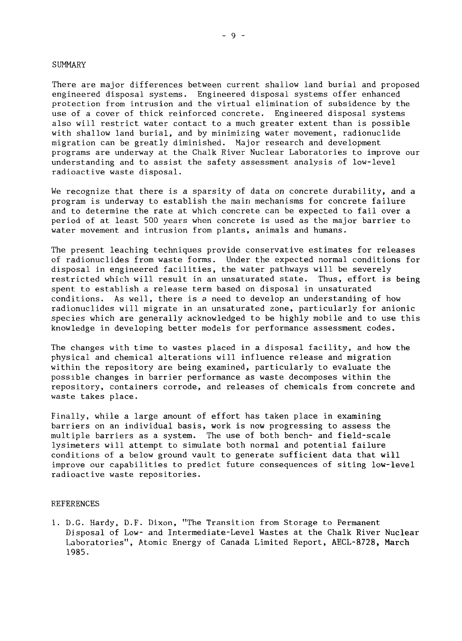#### **SUMMARY**

There are major differences between current shallow land burial and proposed engineered disposal systems. Engineered disposal systems offer enhanced protection from intrusion and the virtual elimination of subsidence by the use of a cover of thick reinforced concrete. Engineered disposal systems also will restrict water contact to a much greater extent than is possible with shallow land burial, and by minimizing water movement, radionuclide migration can be greatly diminished. Major research and development programs are underway at the Chalk River Nuclear Laboratories to improve our understanding and to assist the safety assessment analysis of low-level radioactive waste disposal.

We recognize that there is a sparsity of data on concrete durability, and a program is underway to establish the main mechanisms for concrete failure and to determine the rate at which concrete can be expected to fail over a period of at least 500 years when concrete is used as the major barrier to water movement and intrusion from plants, animals and humans.

The present leaching techniques provide conservative estimates for releases of radionuclides from waste forms. Under the expected normal conditions for disposal in engineered facilities, the water pathways will be severely restricted which will result in an unsaturated state. Thus, effort is being spent to establish a release term based on disposal in unsaturated conditions. As well, there is a need to develop an understanding of how radionuclides will migrate in an unsaturated zone, particularly for anionic species which are generally acknowledged to be highly mobile and to use this knowledge in developing better models for performance assessment codes.

The changes with time to wastes placed in a disposal facility, and how the physical and chemical alterations will influence release and migration within the repository are being examined, particularly to evaluate the possible changes in barrier performance as waste decomposes within the repository, containers corrode, and releases of chemicals from concrete and waste takes place.

Finally, while a large amount of effort has taken place in examining barriers on an individual basis, work is now progressing to assess the multiple barriers as a system. The use of both bench- and field-scale lysimeters will attempt to simulate both normal and potential failure conditions of a below ground vault to generate sufficient data that will improve our capabilities to predict future consequences of siting low-level radioactive waste repositories.

#### REFERENCES

1. D.G. Hardy, D.F. Dixon, "The Transition from Storage to Permanent Disposal of Low- and Intermediate-Level Wastes at the Chalk River Nuclear Laboratories", Atomic Energy of Canada Limited Report, AECL-8728, March 1985.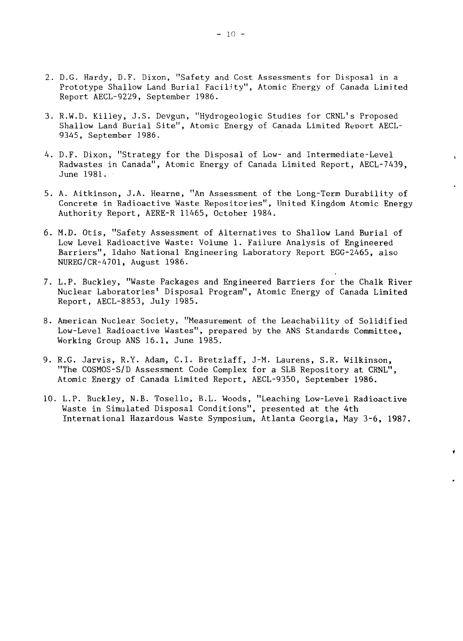- 2. D.G. Hardy, D.F. Dixon, "Safety and Cost Assessments for Disposal in a Prototype Shallow Land Burial Facility", Atomic Energy of Canada Limited Report AECL-9229, September 1986.
- 3. R.W.D. Killey, J.S. Devgun, "Hydrogeologic Studies for CRNL's Proposed Shallow Land Burial Site", Atomic Energy of Canada Limited Report AECL-9345, September 1986.
- 4. D.F. Dixon, "Strategy for the Disposal of Low- and Intermediate-Level Radwastes in Canada", Atomic Energy of Canada Limited Report, AECL-7439, June 1981.
- 5. A. Aitkinson, J.A. Hearne, "An Assessment of the Long-Term Durability of Concrete in Radioactive Waste Repositories", United Kingdom Atomic Energy Authority Report, AERE-R 11465, October 1984.
- 6. M.D. Otis, "Safety Assessment of Alternatives to Shallow Land Burial of Low Level Radioactive Waste: Volume 1. Failure Analysis of Engineered Barriers", Idaho National Engineering Laboratory Report EGG-2465, also NUREG/CR-4701, August 1986.
- 7. L.P. Buckley, "Waste Packages and Engineered Barriers for the Chalk River Nuclear Laboratories' Disposal Program", Atomic Energy of Canada Limited Report, AECL-8853, July 1985.
- 8. American Nuclear Society, "Measurement of the Leachability of Solidified Low-Level Radioactive Wastes", prepared by the ANS Standards Committee, Working Group ANS 15.1, June 1985.
- 9. R.G. Jarvis, R.Y. Adam, C.I. Bretzlaff, J-M. Laurens, S.R. Wilkinson, "The COSMOS-S/D Assessment Code Complex for a SLB Repository at CRNL", Atomic Energy of Canada Limited Report, AECL-9350, September 1986.
- 10. L.P. Buckley, N.B. Tosello, B.L. Woods, "Leaching Low-Level Radioactive Waste in Simulated Disposal Conditions", presented at the 4th International Hazardous Waste Symposium, Atlanta Georgia, May 3-6, 1987.

 $\bullet$